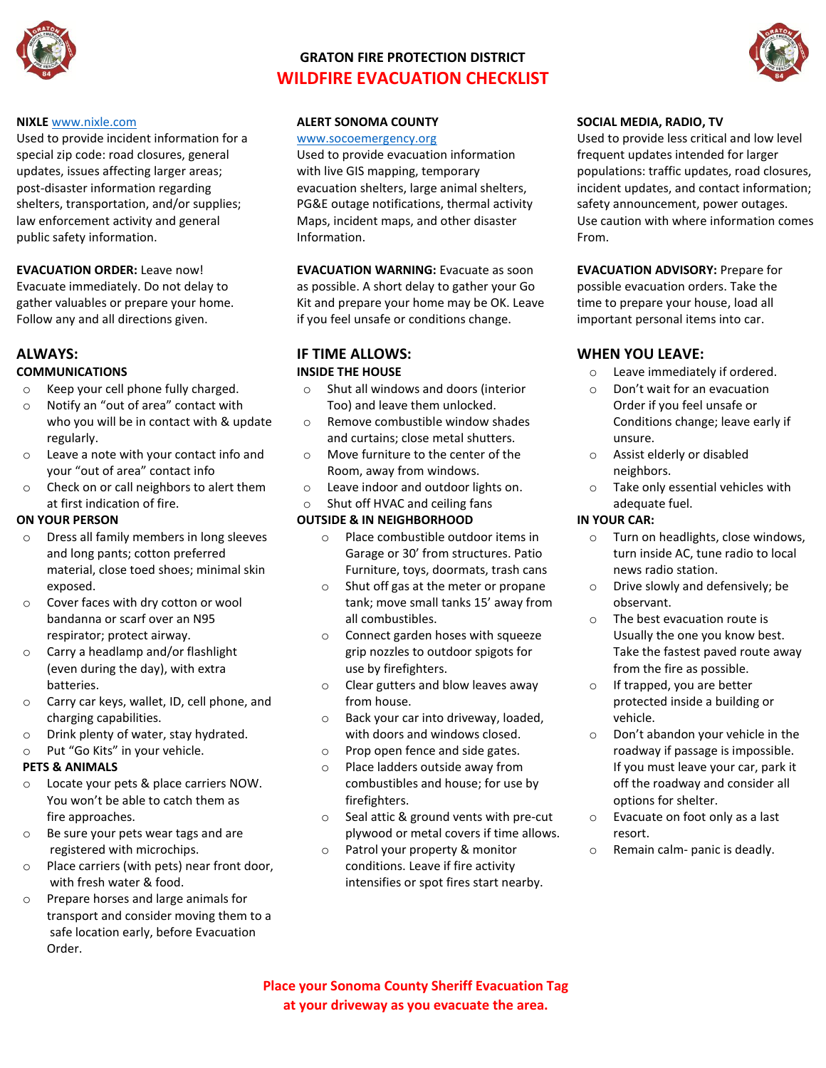

# **GRATON FIRE PROTECTION DISTRICT WILDFIRE EVACUATION CHECKLIST**



#### **NIXLE** [www.nixle.com](http://www.nixle.com/)

Used to provide incident information for a special zip code: road closures, general updates, issues affecting larger areas; post-disaster information regarding shelters, transportation, and/or supplies; law enforcement activity and general public safety information.

## **EVACUATION ORDER:** Leave now!

Evacuate immediately. Do not delay to gather valuables or prepare your home. Follow any and all directions given.

## **ALWAYS:**

## **COMMUNICATIONS**

- o Keep your cell phone fully charged.
- Notify an "out of area" contact with who you will be in contact with & update regularly.
- o Leave a note with your contact info and your "out of area" contact info
- o Check on or call neighbors to alert them at first indication of fire.

## **ON YOUR PERSON**

- o Dress all family members in long sleeves and long pants; cotton preferred material, close toed shoes; minimal skin exposed.
- o Cover faces with dry cotton or wool bandanna or scarf over an N95 respirator; protect airway.
- o Carry a headlamp and/or flashlight (even during the day), with extra batteries.
- o Carry car keys, wallet, ID, cell phone, and charging capabilities.
- o Drink plenty of water, stay hydrated.
- o Put "Go Kits" in your vehicle.

#### **PETS & ANIMALS**

- o Locate your pets & place carriers NOW. You won't be able to catch them as fire approaches.
- o Be sure your pets wear tags and are registered with microchips.
- o Place carriers (with pets) near front door, with fresh water & food.
- o Prepare horses and large animals for transport and consider moving them to a safe location early, before Evacuation Order.

## **ALERT SONOMA COUNTY**

#### [www.socoemergency.org](http://www.socoemergency.org/)

Used to provide evacuation information with live GIS mapping, temporary evacuation shelters, large animal shelters, PG&E outage notifications, thermal activity Maps, incident maps, and other disaster Information.

**EVACUATION WARNING:** Evacuate as soon as possible. A short delay to gather your Go Kit and prepare your home may be OK. Leave if you feel unsafe or conditions change.

## **IF TIME ALLOWS: INSIDE THE HOUSE**

- o Shut all windows and doors (interior Too) and leave them unlocked.
- o Remove combustible window shades and curtains; close metal shutters.
- o Move furniture to the center of the Room, away from windows.
- o Leave indoor and outdoor lights on.
- o Shut off HVAC and ceiling fans

## **OUTSIDE & IN NEIGHBORHOOD**

- o Place combustible outdoor items in Garage or 30' from structures. Patio Furniture, toys, doormats, trash cans
- o Shut off gas at the meter or propane tank; move small tanks 15' away from all combustibles.
- o Connect garden hoses with squeeze grip nozzles to outdoor spigots for use by firefighters.
- o Clear gutters and blow leaves away from house.
- o Back your car into driveway, loaded, with doors and windows closed.
- o Prop open fence and side gates.
- o Place ladders outside away from combustibles and house; for use by firefighters.
- o Seal attic & ground vents with pre-cut plywood or metal covers if time allows.
- o Patrol your property & monitor conditions. Leave if fire activity intensifies or spot fires start nearby.

### **SOCIAL MEDIA, RADIO, TV**

Used to provide less critical and low level frequent updates intended for larger populations: traffic updates, road closures, incident updates, and contact information; safety announcement, power outages. Use caution with where information comes From.

**EVACUATION ADVISORY:** Prepare for possible evacuation orders. Take the time to prepare your house, load all important personal items into car.

## **WHEN YOU LEAVE:**

- o Leave immediately if ordered.
- o Don't wait for an evacuation Order if you feel unsafe or Conditions change; leave early if unsure.
- o Assist elderly or disabled neighbors.
- o Take only essential vehicles with adequate fuel.

## **IN YOUR CAR:**

- o Turn on headlights, close windows, turn inside AC, tune radio to local news radio station.
- o Drive slowly and defensively; be observant.
- o The best evacuation route is Usually the one you know best. Take the fastest paved route away from the fire as possible.
- o If trapped, you are better protected inside a building or vehicle.
- o Don't abandon your vehicle in the roadway if passage is impossible. If you must leave your car, park it off the roadway and consider all options for shelter.
- o Evacuate on foot only as a last resort.
- o Remain calm- panic is deadly.

**Place your Sonoma County Sheriff Evacuation Tag at your driveway as you evacuate the area.**